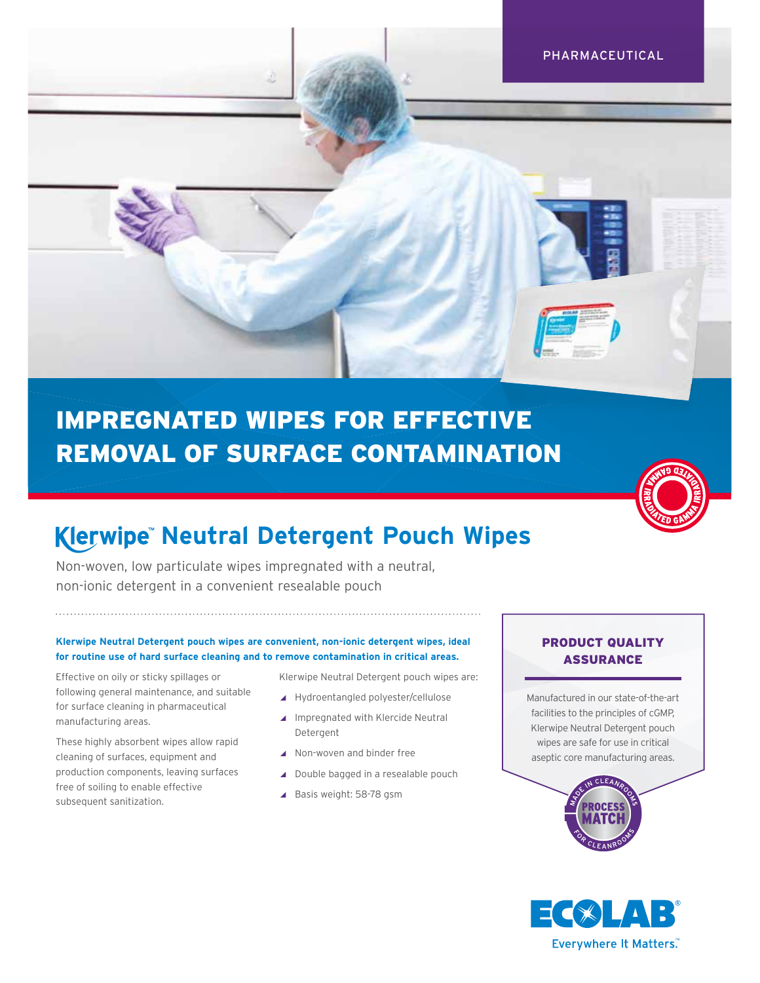PHARMACEUTICAL

# IMPREGNATED WIPES FOR EFFECTIVE REMOVAL OF SURFACE CONTAMINATION



# **Klerwipe Neutral Detergent Pouch Wipes**

Non-woven, low particulate wipes impregnated with a neutral, non-ionic detergent in a convenient resealable pouch

#### **Klerwipe Neutral Detergent pouch wipes are convenient, non-ionic detergent wipes, ideal for routine use of hard surface cleaning and to remove contamination in critical areas.**

Effective on oily or sticky spillages or following general maintenance, and suitable for surface cleaning in pharmaceutical manufacturing areas.

These highly absorbent wipes allow rapid cleaning of surfaces, equipment and production components, leaving surfaces free of soiling to enable effective subsequent sanitization.

Klerwipe Neutral Detergent pouch wipes are:

- ◢ Hydroentangled polyester/cellulose
- ▲ Impregnated with Klercide Neutral Detergent
- ◢ Non-woven and binder free
- ◢ Double bagged in a resealable pouch
- ◢ Basis weight: 58-78 gsm

# PRODUCT QUALITY ASSURANCE

Manufactured in our state-of-the-art facilities to the principles of cGMP, Klerwipe Neutral Detergent pouch wipes are safe for use in critical aseptic core manufacturing areas.